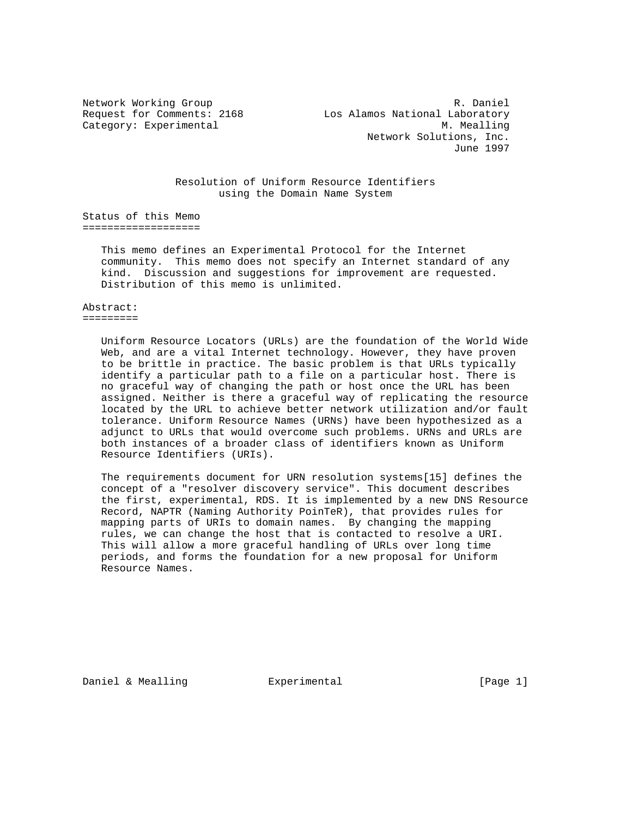Network Working Group and the control of the R. Daniel Request for Comments: 2168 Los Alamos National Laboratory Category: Experimental M. Mealling Network Solutions, Inc. June 1997

> Resolution of Uniform Resource Identifiers using the Domain Name System

Status of this Memo ===================

> This memo defines an Experimental Protocol for the Internet community. This memo does not specify an Internet standard of any kind. Discussion and suggestions for improvement are requested. Distribution of this memo is unlimited.

Abstract: =========

> Uniform Resource Locators (URLs) are the foundation of the World Wide Web, and are a vital Internet technology. However, they have proven to be brittle in practice. The basic problem is that URLs typically identify a particular path to a file on a particular host. There is no graceful way of changing the path or host once the URL has been assigned. Neither is there a graceful way of replicating the resource located by the URL to achieve better network utilization and/or fault tolerance. Uniform Resource Names (URNs) have been hypothesized as a adjunct to URLs that would overcome such problems. URNs and URLs are both instances of a broader class of identifiers known as Uniform Resource Identifiers (URIs).

> The requirements document for URN resolution systems[15] defines the concept of a "resolver discovery service". This document describes the first, experimental, RDS. It is implemented by a new DNS Resource Record, NAPTR (Naming Authority PoinTeR), that provides rules for mapping parts of URIs to domain names. By changing the mapping rules, we can change the host that is contacted to resolve a URI. This will allow a more graceful handling of URLs over long time periods, and forms the foundation for a new proposal for Uniform Resource Names.

Daniel & Mealling  $\qquad \qquad$  Experimental  $\qquad \qquad$  [Page 1]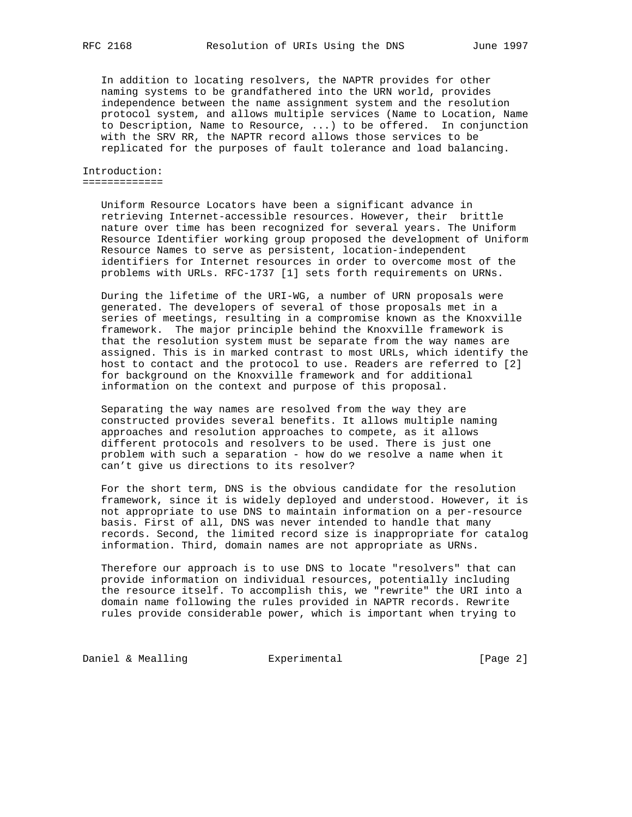In addition to locating resolvers, the NAPTR provides for other naming systems to be grandfathered into the URN world, provides independence between the name assignment system and the resolution protocol system, and allows multiple services (Name to Location, Name to Description, Name to Resource, ...) to be offered. In conjunction with the SRV RR, the NAPTR record allows those services to be replicated for the purposes of fault tolerance and load balancing.

### Introduction: =============

 Uniform Resource Locators have been a significant advance in retrieving Internet-accessible resources. However, their brittle nature over time has been recognized for several years. The Uniform Resource Identifier working group proposed the development of Uniform Resource Names to serve as persistent, location-independent identifiers for Internet resources in order to overcome most of the problems with URLs. RFC-1737 [1] sets forth requirements on URNs.

 During the lifetime of the URI-WG, a number of URN proposals were generated. The developers of several of those proposals met in a series of meetings, resulting in a compromise known as the Knoxville framework. The major principle behind the Knoxville framework is that the resolution system must be separate from the way names are assigned. This is in marked contrast to most URLs, which identify the host to contact and the protocol to use. Readers are referred to [2] for background on the Knoxville framework and for additional information on the context and purpose of this proposal.

 Separating the way names are resolved from the way they are constructed provides several benefits. It allows multiple naming approaches and resolution approaches to compete, as it allows different protocols and resolvers to be used. There is just one problem with such a separation - how do we resolve a name when it can't give us directions to its resolver?

 For the short term, DNS is the obvious candidate for the resolution framework, since it is widely deployed and understood. However, it is not appropriate to use DNS to maintain information on a per-resource basis. First of all, DNS was never intended to handle that many records. Second, the limited record size is inappropriate for catalog information. Third, domain names are not appropriate as URNs.

 Therefore our approach is to use DNS to locate "resolvers" that can provide information on individual resources, potentially including the resource itself. To accomplish this, we "rewrite" the URI into a domain name following the rules provided in NAPTR records. Rewrite rules provide considerable power, which is important when trying to

Daniel & Mealling **Experimental Experimental** [Page 2]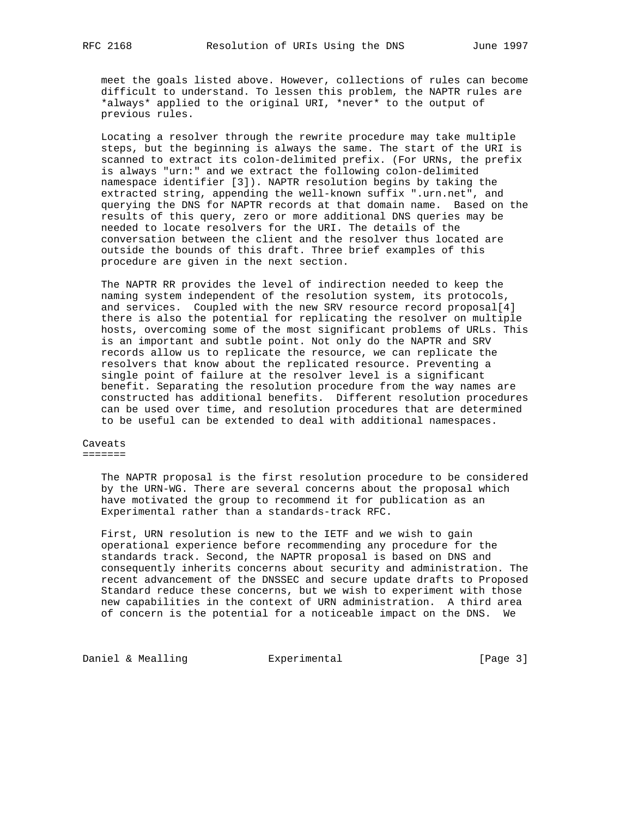meet the goals listed above. However, collections of rules can become difficult to understand. To lessen this problem, the NAPTR rules are \*always\* applied to the original URI, \*never\* to the output of previous rules.

 Locating a resolver through the rewrite procedure may take multiple steps, but the beginning is always the same. The start of the URI is scanned to extract its colon-delimited prefix. (For URNs, the prefix is always "urn:" and we extract the following colon-delimited namespace identifier [3]). NAPTR resolution begins by taking the extracted string, appending the well-known suffix ".urn.net", and querying the DNS for NAPTR records at that domain name. Based on the results of this query, zero or more additional DNS queries may be needed to locate resolvers for the URI. The details of the conversation between the client and the resolver thus located are outside the bounds of this draft. Three brief examples of this procedure are given in the next section.

 The NAPTR RR provides the level of indirection needed to keep the naming system independent of the resolution system, its protocols, and services. Coupled with the new SRV resource record proposal[4] there is also the potential for replicating the resolver on multiple hosts, overcoming some of the most significant problems of URLs. This is an important and subtle point. Not only do the NAPTR and SRV records allow us to replicate the resource, we can replicate the resolvers that know about the replicated resource. Preventing a single point of failure at the resolver level is a significant benefit. Separating the resolution procedure from the way names are constructed has additional benefits. Different resolution procedures can be used over time, and resolution procedures that are determined to be useful can be extended to deal with additional namespaces.

Caveats =======

> The NAPTR proposal is the first resolution procedure to be considered by the URN-WG. There are several concerns about the proposal which have motivated the group to recommend it for publication as an Experimental rather than a standards-track RFC.

> First, URN resolution is new to the IETF and we wish to gain operational experience before recommending any procedure for the standards track. Second, the NAPTR proposal is based on DNS and consequently inherits concerns about security and administration. The recent advancement of the DNSSEC and secure update drafts to Proposed Standard reduce these concerns, but we wish to experiment with those new capabilities in the context of URN administration. A third area of concern is the potential for a noticeable impact on the DNS. We

Daniel & Mealling **Experimental Experimental** [Page 3]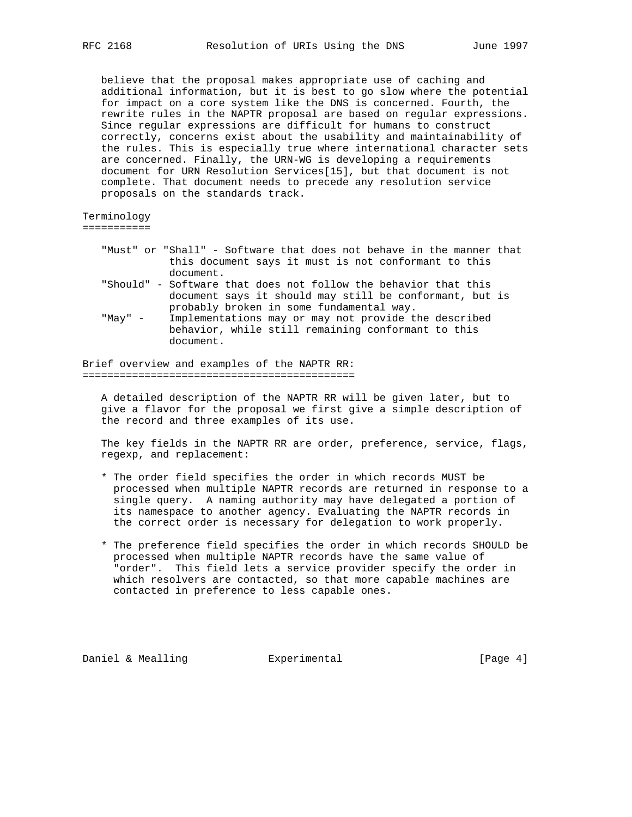believe that the proposal makes appropriate use of caching and additional information, but it is best to go slow where the potential for impact on a core system like the DNS is concerned. Fourth, the rewrite rules in the NAPTR proposal are based on regular expressions. Since regular expressions are difficult for humans to construct correctly, concerns exist about the usability and maintainability of the rules. This is especially true where international character sets are concerned. Finally, the URN-WG is developing a requirements document for URN Resolution Services[15], but that document is not complete. That document needs to precede any resolution service proposals on the standards track.

Terminology

===========

- "Must" or "Shall" Software that does not behave in the manner that this document says it must is not conformant to this document.
- "Should" Software that does not follow the behavior that this document says it should may still be conformant, but is probably broken in some fundamental way.
- "May" Implementations may or may not provide the described behavior, while still remaining conformant to this document.

Brief overview and examples of the NAPTR RR: ============================================

 A detailed description of the NAPTR RR will be given later, but to give a flavor for the proposal we first give a simple description of the record and three examples of its use.

 The key fields in the NAPTR RR are order, preference, service, flags, regexp, and replacement:

- \* The order field specifies the order in which records MUST be processed when multiple NAPTR records are returned in response to a single query. A naming authority may have delegated a portion of its namespace to another agency. Evaluating the NAPTR records in the correct order is necessary for delegation to work properly.
- \* The preference field specifies the order in which records SHOULD be processed when multiple NAPTR records have the same value of "order". This field lets a service provider specify the order in which resolvers are contacted, so that more capable machines are contacted in preference to less capable ones.

Daniel & Mealling  $\qquad \qquad$  Experimental  $\qquad \qquad$  [Page 4]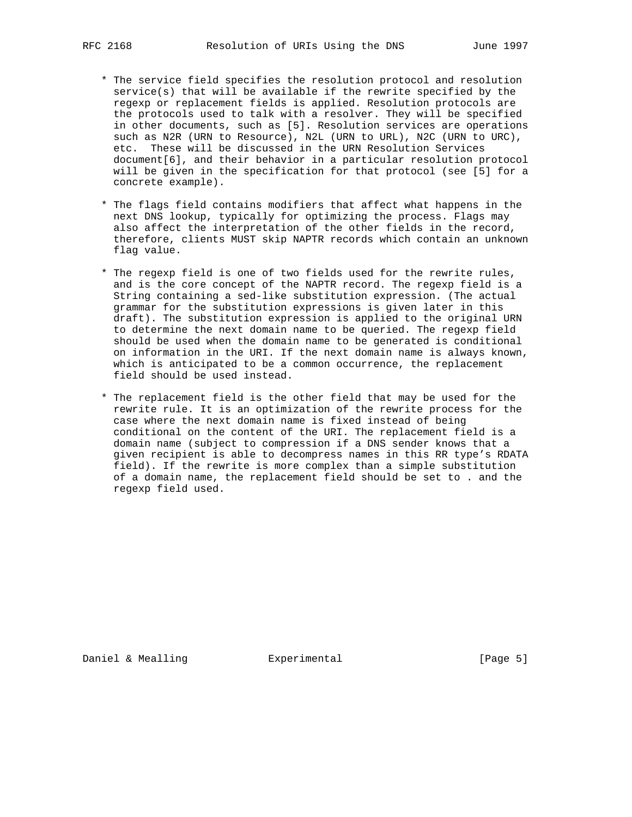- \* The service field specifies the resolution protocol and resolution service(s) that will be available if the rewrite specified by the regexp or replacement fields is applied. Resolution protocols are the protocols used to talk with a resolver. They will be specified in other documents, such as [5]. Resolution services are operations such as N2R (URN to Resource), N2L (URN to URL), N2C (URN to URC), etc. These will be discussed in the URN Resolution Services document[6], and their behavior in a particular resolution protocol will be given in the specification for that protocol (see [5] for a concrete example).
- \* The flags field contains modifiers that affect what happens in the next DNS lookup, typically for optimizing the process. Flags may also affect the interpretation of the other fields in the record, therefore, clients MUST skip NAPTR records which contain an unknown flag value.
- \* The regexp field is one of two fields used for the rewrite rules, and is the core concept of the NAPTR record. The regexp field is a String containing a sed-like substitution expression. (The actual grammar for the substitution expressions is given later in this draft). The substitution expression is applied to the original URN to determine the next domain name to be queried. The regexp field should be used when the domain name to be generated is conditional on information in the URI. If the next domain name is always known, which is anticipated to be a common occurrence, the replacement field should be used instead.
- \* The replacement field is the other field that may be used for the rewrite rule. It is an optimization of the rewrite process for the case where the next domain name is fixed instead of being conditional on the content of the URI. The replacement field is a domain name (subject to compression if a DNS sender knows that a given recipient is able to decompress names in this RR type's RDATA field). If the rewrite is more complex than a simple substitution of a domain name, the replacement field should be set to . and the regexp field used.

Daniel & Mealling  $\qquad \qquad$  Experimental  $\qquad \qquad$  [Page 5]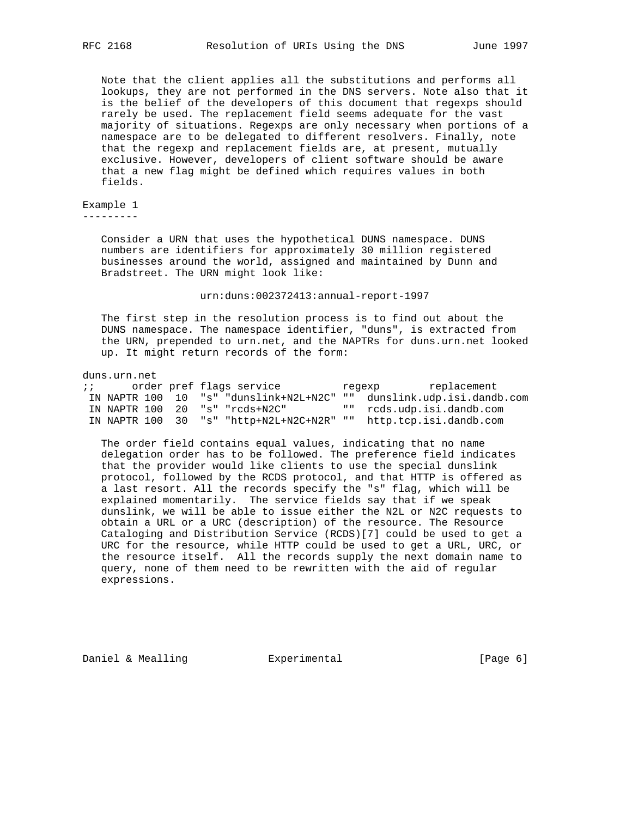Note that the client applies all the substitutions and performs all lookups, they are not performed in the DNS servers. Note also that it is the belief of the developers of this document that regexps should rarely be used. The replacement field seems adequate for the vast majority of situations. Regexps are only necessary when portions of a namespace are to be delegated to different resolvers. Finally, note that the regexp and replacement fields are, at present, mutually exclusive. However, developers of client software should be aware that a new flag might be defined which requires values in both fields.

Example 1 ---------

> Consider a URN that uses the hypothetical DUNS namespace. DUNS numbers are identifiers for approximately 30 million registered businesses around the world, assigned and maintained by Dunn and Bradstreet. The URN might look like:

### urn:duns:002372413:annual-report-1997

 The first step in the resolution process is to find out about the DUNS namespace. The namespace identifier, "duns", is extracted from the URN, prepended to urn.net, and the NAPTRs for duns.urn.net looked up. It might return records of the form:

### duns.urn.net

| $\mathbf{i}$ $\mathbf{j}$ |  | order pref flags service                    | replacement<br>regexp                                                |
|---------------------------|--|---------------------------------------------|----------------------------------------------------------------------|
|                           |  |                                             | IN NAPTR 100 10 "s" "dunslink+N2L+N2C" "" dunslink.udp.isi.dandb.com |
|                           |  | IN NAPTR 100 20 "s" "rcds+N2C"              | "" rcds.udp.isi.dandb.com                                            |
|                           |  | IN NAPTR $100$ 30 "s" "http+N2L+N2C+N2R" "" | http.tcp.isi.dandb.com                                               |

 The order field contains equal values, indicating that no name delegation order has to be followed. The preference field indicates that the provider would like clients to use the special dunslink protocol, followed by the RCDS protocol, and that HTTP is offered as a last resort. All the records specify the "s" flag, which will be explained momentarily. The service fields say that if we speak dunslink, we will be able to issue either the N2L or N2C requests to obtain a URL or a URC (description) of the resource. The Resource Cataloging and Distribution Service (RCDS)[7] could be used to get a URC for the resource, while HTTP could be used to get a URL, URC, or the resource itself. All the records supply the next domain name to query, none of them need to be rewritten with the aid of regular expressions.

Daniel & Mealling  $\qquad \qquad$  Experimental  $\qquad \qquad$  [Page 6]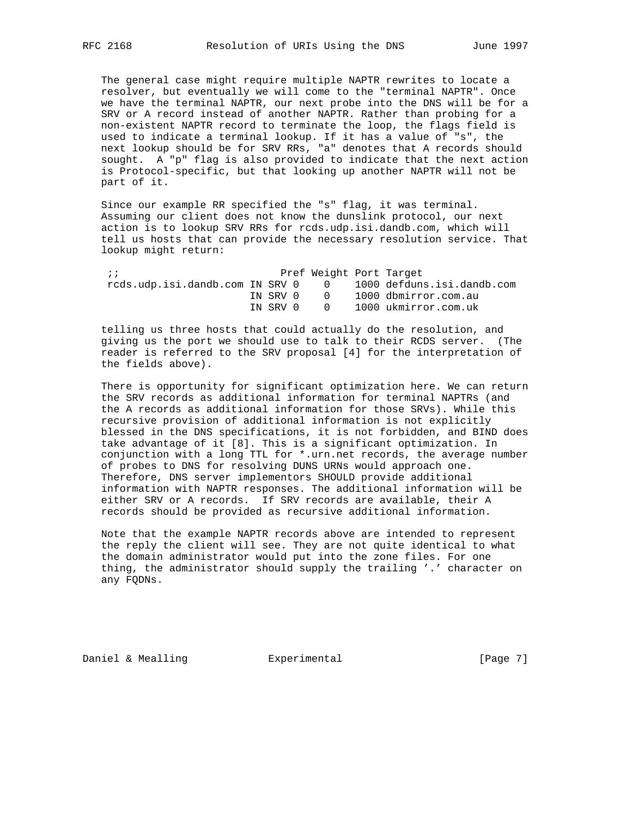The general case might require multiple NAPTR rewrites to locate a resolver, but eventually we will come to the "terminal NAPTR". Once we have the terminal NAPTR, our next probe into the DNS will be for a SRV or A record instead of another NAPTR. Rather than probing for a non-existent NAPTR record to terminate the loop, the flags field is used to indicate a terminal lookup. If it has a value of "s", the next lookup should be for SRV RRs, "a" denotes that A records should sought. A "p" flag is also provided to indicate that the next action is Protocol-specific, but that looking up another NAPTR will not be part of it.

 Since our example RR specified the "s" flag, it was terminal. Assuming our client does not know the dunslink protocol, our next action is to lookup SRV RRs for rcds.udp.isi.dandb.com, which will tell us hosts that can provide the necessary resolution service. That lookup might return:

| $\cdots$                        |          |  | Pref Weight Port Target    |
|---------------------------------|----------|--|----------------------------|
| rcds.udp.isi.dandb.com IN SRV 0 |          |  | 1000 defduns.isi.dandb.com |
|                                 | IN SRV O |  | 1000 dbmirror.com.au       |
|                                 | IN SRV 0 |  | 1000 ukmirror.com.uk       |

 telling us three hosts that could actually do the resolution, and giving us the port we should use to talk to their RCDS server. (The reader is referred to the SRV proposal [4] for the interpretation of the fields above).

 There is opportunity for significant optimization here. We can return the SRV records as additional information for terminal NAPTRs (and the A records as additional information for those SRVs). While this recursive provision of additional information is not explicitly blessed in the DNS specifications, it is not forbidden, and BIND does take advantage of it [8]. This is a significant optimization. In conjunction with a long TTL for \*.urn.net records, the average number of probes to DNS for resolving DUNS URNs would approach one. Therefore, DNS server implementors SHOULD provide additional information with NAPTR responses. The additional information will be either SRV or A records. If SRV records are available, their A records should be provided as recursive additional information.

 Note that the example NAPTR records above are intended to represent the reply the client will see. They are not quite identical to what the domain administrator would put into the zone files. For one thing, the administrator should supply the trailing '.' character on any FQDNs.

Daniel & Mealling **Experimental Experimental** [Page 7]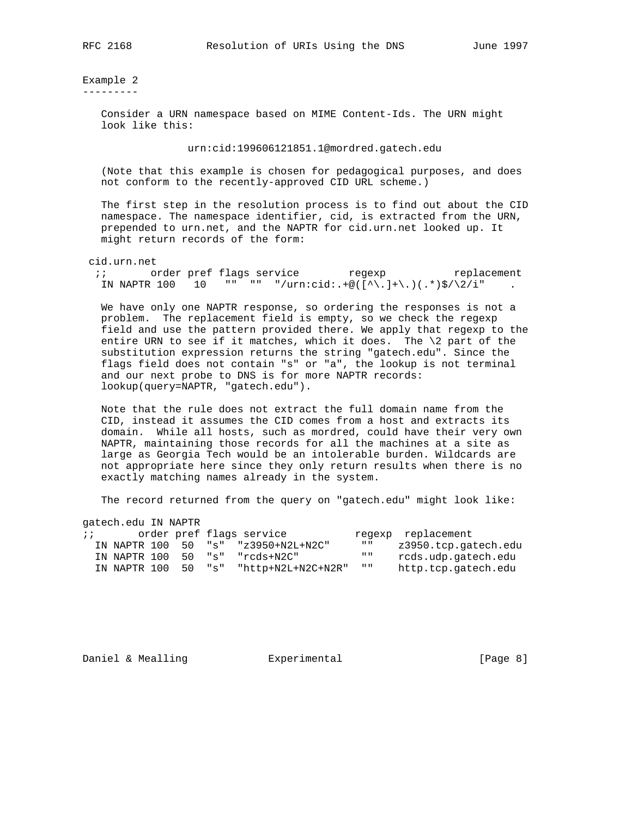Example 2 ---------

> Consider a URN namespace based on MIME Content-Ids. The URN might look like this:

> > urn:cid:199606121851.1@mordred.gatech.edu

 (Note that this example is chosen for pedagogical purposes, and does not conform to the recently-approved CID URL scheme.)

 The first step in the resolution process is to find out about the CID namespace. The namespace identifier, cid, is extracted from the URN, prepended to urn.net, and the NAPTR for cid.urn.net looked up. It might return records of the form:

cid.urn.net

; i order pref flags service the regexp teplacement IN NAPTR 100 10 "" "" "/urn:cid:.+@( $[\hat{\wedge},]$ +\.)(.\*)\$/\2/i"

 We have only one NAPTR response, so ordering the responses is not a problem. The replacement field is empty, so we check the regexp field and use the pattern provided there. We apply that regexp to the entire URN to see if it matches, which it does. The  $\lambda$  part of the substitution expression returns the string "gatech.edu". Since the flags field does not contain "s" or "a", the lookup is not terminal and our next probe to DNS is for more NAPTR records: lookup(query=NAPTR, "gatech.edu").

 Note that the rule does not extract the full domain name from the CID, instead it assumes the CID comes from a host and extracts its domain. While all hosts, such as mordred, could have their very own NAPTR, maintaining those records for all the machines at a site as large as Georgia Tech would be an intolerable burden. Wildcards are not appropriate here since they only return results when there is no exactly matching names already in the system.

The record returned from the query on "gatech.edu" might look like:

gatech.edu IN NAPTR

| $\ddot{i}$ |  |  | order pref flags service               |                               | regexp replacement   |
|------------|--|--|----------------------------------------|-------------------------------|----------------------|
|            |  |  | IN NAPTR 100 50 "s" "z3950+N2L+N2C"    | $\mathbf{H}$ and $\mathbf{H}$ | z3950.tcp.qatech.edu |
|            |  |  | IN NAPTR 100 50 "s" "rods+N2C"         | $\mathbf{H}$ $\mathbf{H}$     | rcds.udp.qatech.edu  |
|            |  |  | IN NAPTR 100 50 "s" "http+N2L+N2C+N2R" | $\mathbf{u}$                  | http.tcp.gatech.edu  |

Daniel & Mealling **Experimental Experimental** [Page 8]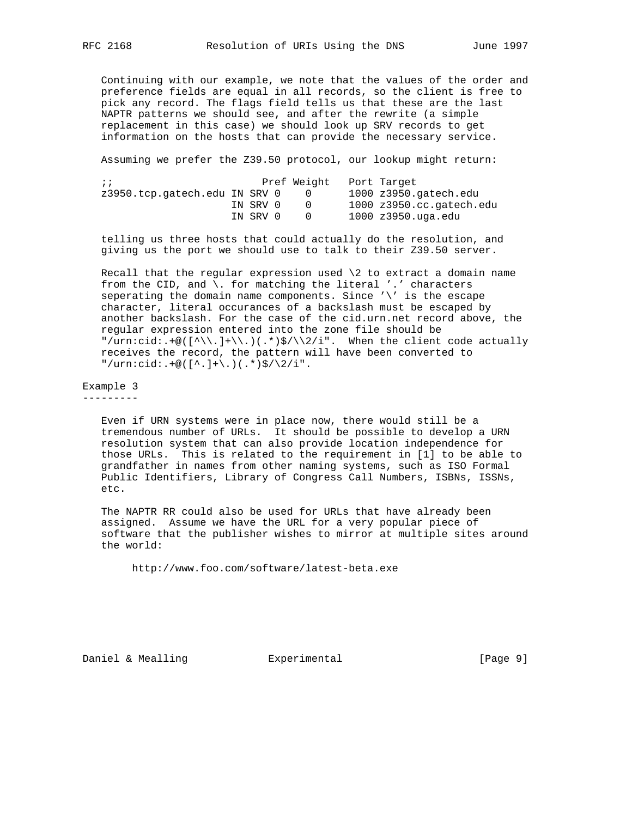Continuing with our example, we note that the values of the order and preference fields are equal in all records, so the client is free to pick any record. The flags field tells us that these are the last NAPTR patterns we should see, and after the rewrite (a simple replacement in this case) we should look up SRV records to get information on the hosts that can provide the necessary service.

Assuming we prefer the Z39.50 protocol, our lookup might return:

| $\cdots$                      |          | Pref Weight | Port Target                       |
|-------------------------------|----------|-------------|-----------------------------------|
| z3950.tcp.qatech.edu IN SRV 0 |          |             | $1000$ $z3950$ . $qatech$ . $edu$ |
|                               | IN SRV 0 |             | 1000 z3950.cc.gatech.edu          |
|                               | IN SRV 0 |             | 1000 z3950.uga.edu                |

 telling us three hosts that could actually do the resolution, and giving us the port we should use to talk to their Z39.50 server.

Recall that the regular expression used  $\2$  to extract a domain name from the CID, and  $\setminus$ . for matching the literal '.' characters seperating the domain name components. Since '\' is the escape character, literal occurances of a backslash must be escaped by another backslash. For the case of the cid.urn.net record above, the regular expression entered into the zone file should be "/urn:cid:.+@( $[\wedge\backslash\,.]+ \backslash\ .$ )(.\*)\$/ $\backslash\backslash 2/i$ ". When the client code actually receives the record, the pattern will have been converted to  $"\/urn:cid:.+@([^,]+), (.*)\$  /  $2/ii".$ 

Example 3 ---------

> Even if URN systems were in place now, there would still be a tremendous number of URLs. It should be possible to develop a URN resolution system that can also provide location independence for those URLs. This is related to the requirement in [1] to be able to grandfather in names from other naming systems, such as ISO Formal Public Identifiers, Library of Congress Call Numbers, ISBNs, ISSNs, etc.

 The NAPTR RR could also be used for URLs that have already been assigned. Assume we have the URL for a very popular piece of software that the publisher wishes to mirror at multiple sites around the world:

http://www.foo.com/software/latest-beta.exe

Daniel & Mealling  $\qquad \qquad$  Experimental  $\qquad \qquad$  [Page 9]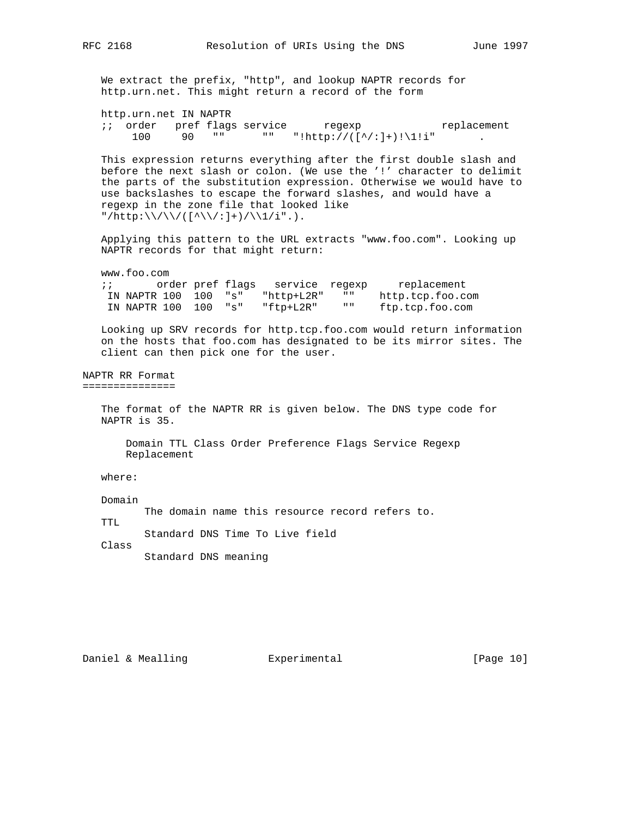We extract the prefix, "http", and lookup NAPTR records for http.urn.net. This might return a record of the form http.urn.net IN NAPTR ;; order pref flags service regexp replacement 100 90 "" "" "!http://( $[^{\wedge}/:]^{\dagger}$ )!\1!i" . This expression returns everything after the first double slash and before the next slash or colon. (We use the '!' character to delimit the parts of the substitution expression. Otherwise we would have to use backslashes to escape the forward slashes, and would have a regexp in the zone file that looked like "/http:\\/\\/([^\\/:]+)/\\1/i".). Applying this pattern to the URL extracts "www.foo.com". Looking up NAPTR records for that might return: www.foo.com ;; order pref flags service regexp replacement IN NAPTR 100 100 "s" "http+L2R" "" http.tcp.foo.com IN NAPTR 100 100 "s" "ftp+L2R" "" ftp.tcp.foo.com Looking up SRV records for http.tcp.foo.com would return information on the hosts that foo.com has designated to be its mirror sites. The client can then pick one for the user. NAPTR RR Format =============== The format of the NAPTR RR is given below. The DNS type code for NAPTR is 35. Domain TTL Class Order Preference Flags Service Regexp Replacement where: Domain The domain name this resource record refers to. TTL Standard DNS Time To Live field Class Standard DNS meaning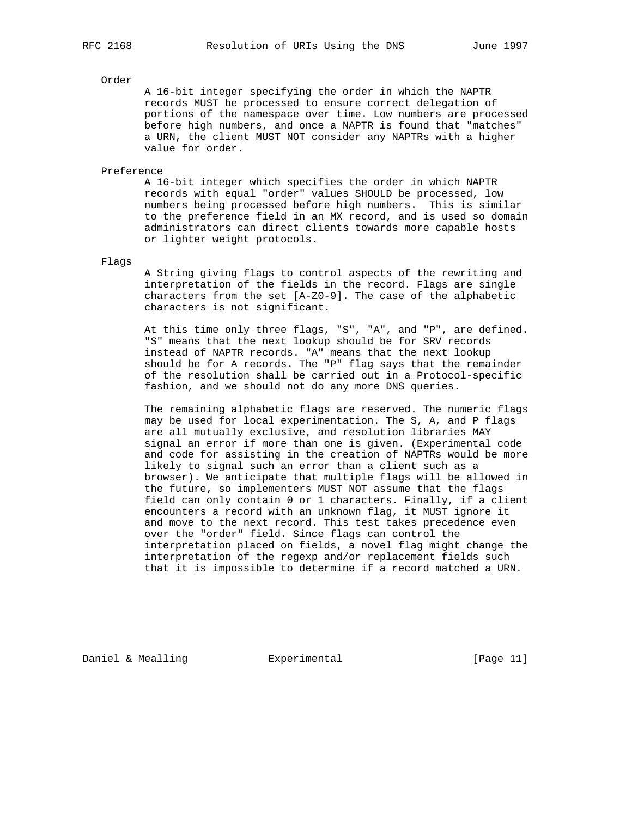# Order

 A 16-bit integer specifying the order in which the NAPTR records MUST be processed to ensure correct delegation of portions of the namespace over time. Low numbers are processed before high numbers, and once a NAPTR is found that "matches" a URN, the client MUST NOT consider any NAPTRs with a higher value for order.

Preference

 A 16-bit integer which specifies the order in which NAPTR records with equal "order" values SHOULD be processed, low numbers being processed before high numbers. This is similar to the preference field in an MX record, and is used so domain administrators can direct clients towards more capable hosts or lighter weight protocols.

Flags

 A String giving flags to control aspects of the rewriting and interpretation of the fields in the record. Flags are single characters from the set [A-Z0-9]. The case of the alphabetic characters is not significant.

 At this time only three flags, "S", "A", and "P", are defined. "S" means that the next lookup should be for SRV records instead of NAPTR records. "A" means that the next lookup should be for A records. The "P" flag says that the remainder of the resolution shall be carried out in a Protocol-specific fashion, and we should not do any more DNS queries.

 The remaining alphabetic flags are reserved. The numeric flags may be used for local experimentation. The S, A, and P flags are all mutually exclusive, and resolution libraries MAY signal an error if more than one is given. (Experimental code and code for assisting in the creation of NAPTRs would be more likely to signal such an error than a client such as a browser). We anticipate that multiple flags will be allowed in the future, so implementers MUST NOT assume that the flags field can only contain 0 or 1 characters. Finally, if a client encounters a record with an unknown flag, it MUST ignore it and move to the next record. This test takes precedence even over the "order" field. Since flags can control the interpretation placed on fields, a novel flag might change the interpretation of the regexp and/or replacement fields such that it is impossible to determine if a record matched a URN.

Daniel & Mealling  $\qquad \qquad$  Experimental  $\qquad \qquad$  [Page 11]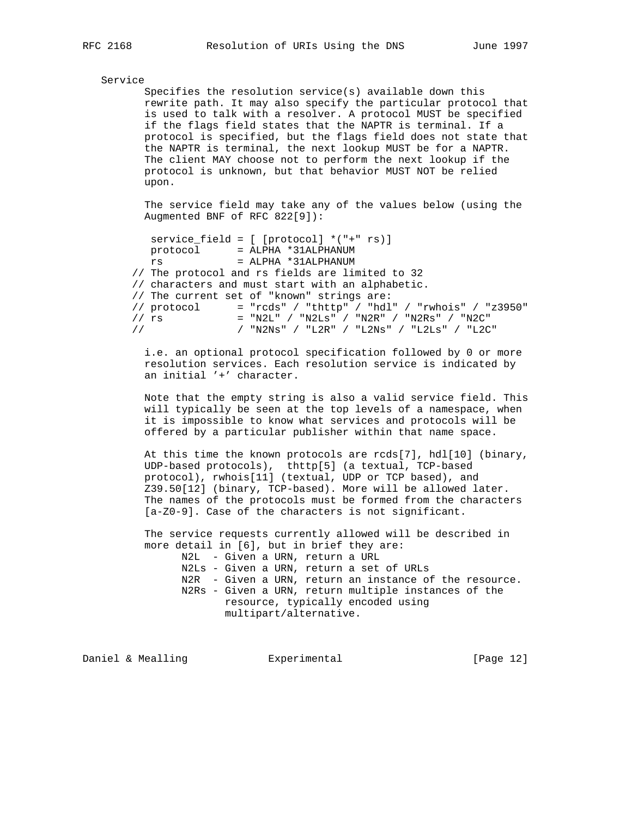## Service

 Specifies the resolution service(s) available down this rewrite path. It may also specify the particular protocol that is used to talk with a resolver. A protocol MUST be specified if the flags field states that the NAPTR is terminal. If a protocol is specified, but the flags field does not state that the NAPTR is terminal, the next lookup MUST be for a NAPTR. The client MAY choose not to perform the next lookup if the protocol is unknown, but that behavior MUST NOT be relied upon.

 The service field may take any of the values below (using the Augmented BNF of RFC 822[9]):

```
 service_field = [ [protocol] *("+" rs)]
   protocol = ALPHA *31ALPHANUM
   rs = ALPHA *31ALPHANUM
 // The protocol and rs fields are limited to 32
 // characters and must start with an alphabetic.
 // The current set of "known" strings are:
// \text{protocol} = "\text{rcds}" / "\text{thttp}" / "\text{hdl}" / "\text{rwhois}" / "\text{z}3950"
// rs = "N2L" / "N2Ls" / "N2R" / "N2Rs" / "N2C"
 // / "N2Ns" / "L2R" / "L2Ns" / "L2Ls" / "L2C"
```
 i.e. an optional protocol specification followed by 0 or more resolution services. Each resolution service is indicated by an initial '+' character.

 Note that the empty string is also a valid service field. This will typically be seen at the top levels of a namespace, when it is impossible to know what services and protocols will be offered by a particular publisher within that name space.

 At this time the known protocols are rcds[7], hdl[10] (binary, UDP-based protocols), thttp[5] (a textual, TCP-based protocol), rwhois[11] (textual, UDP or TCP based), and Z39.50[12] (binary, TCP-based). More will be allowed later. The names of the protocols must be formed from the characters [a-Z0-9]. Case of the characters is not significant.

 The service requests currently allowed will be described in more detail in [6], but in brief they are: N2L - Given a URN, return a URL

```
 N2Ls - Given a URN, return a set of URLs
 N2R - Given a URN, return an instance of the resource.
 N2Rs - Given a URN, return multiple instances of the
        resource, typically encoded using
        multipart/alternative.
```
Daniel & Mealling **Experimental** [Page 12]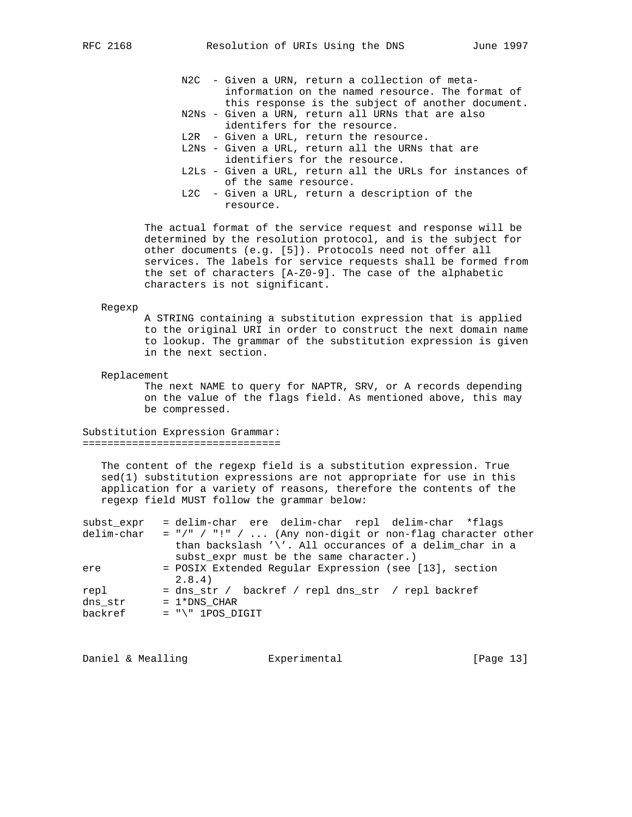- N2C Given a URN, return a collection of meta information on the named resource. The format of this response is the subject of another document.
- N2Ns Given a URN, return all URNs that are also identifers for the resource.
- L2R Given a URL, return the resource.
- L2Ns Given a URL, return all the URNs that are identifiers for the resource.
- L2Ls Given a URL, return all the URLs for instances of of the same resource.
- L2C Given a URL, return a description of the resource.

 The actual format of the service request and response will be determined by the resolution protocol, and is the subject for other documents (e.g. [5]). Protocols need not offer all services. The labels for service requests shall be formed from the set of characters [A-Z0-9]. The case of the alphabetic characters is not significant.

### Regexp

 A STRING containing a substitution expression that is applied to the original URI in order to construct the next domain name to lookup. The grammar of the substitution expression is given in the next section.

### Replacement

 The next NAME to query for NAPTR, SRV, or A records depending on the value of the flags field. As mentioned above, this may be compressed.

Substitution Expression Grammar: ================================

 The content of the regexp field is a substitution expression. True sed(1) substitution expressions are not appropriate for use in this application for a variety of reasons, therefore the contents of the regexp field MUST follow the grammar below:

| subst expr | = delim-char ere delim-char repl delim-char *flags              |
|------------|-----------------------------------------------------------------|
| delim-char | $=$ "/" / "!" /  (Any non-digit or non-flag character other     |
|            | than backslash $\sqrt{'}$ . All occurances of a delim char in a |
|            | subst expr must be the same character.)                         |
| ere        | = POSIX Extended Reqular Expression (see [13], section          |
|            | 2.8.4                                                           |
| repl       | = dns_str / backref / repl dns_str / repl backref               |
| dns str    | $= 1*DNS$ CHAR                                                  |
| backref    | $= "\\" 1POS DIGIT"$                                            |

Daniel & Mealling **Experimental** [Page 13]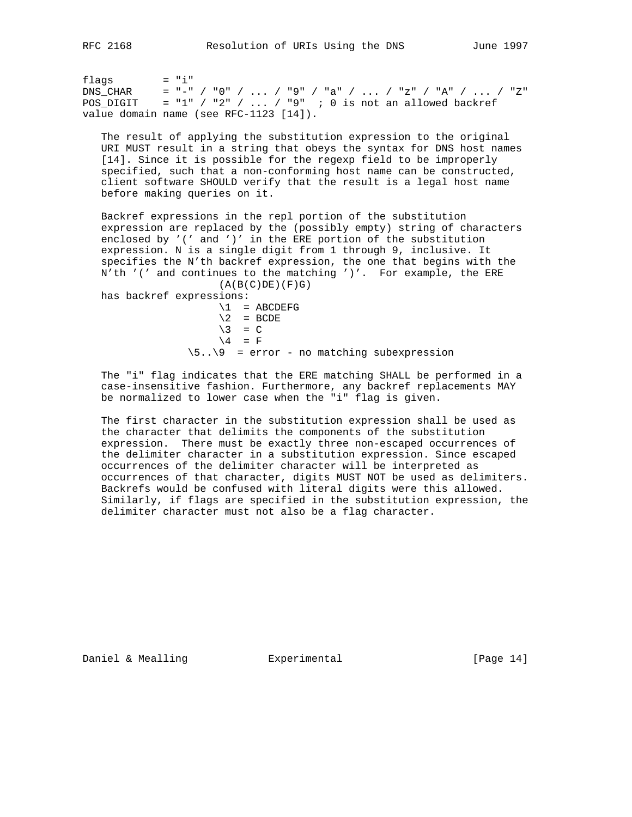$flags = "i"$ DNS\_CHAR = "-" / "0" / ... / "9" / "a" / ... / "z" / "A" / ... / "Z" POS\_DIGIT = "1" / "2" / ... / "9" ; 0 is not an allowed backref value domain name (see RFC-1123 [14]).

 The result of applying the substitution expression to the original URI MUST result in a string that obeys the syntax for DNS host names [14]. Since it is possible for the regexp field to be improperly specified, such that a non-conforming host name can be constructed, client software SHOULD verify that the result is a legal host name before making queries on it.

 Backref expressions in the repl portion of the substitution expression are replaced by the (possibly empty) string of characters enclosed by '(' and ')' in the ERE portion of the substitution expression. N is a single digit from 1 through 9, inclusive. It specifies the N'th backref expression, the one that begins with the N'th '(' and continues to the matching ')'. For example, the ERE  $(A(B(C)DE)(F)G)$ 

has backref expressions:

 $\lvert 1 \rvert$  = ABCDEFG  $\backslash 2$  = BCDE  $\backslash 3 = C$  $\setminus$  4 = F  $\5..\9$  = error - no matching subexpression

 The "i" flag indicates that the ERE matching SHALL be performed in a case-insensitive fashion. Furthermore, any backref replacements MAY be normalized to lower case when the "i" flag is given.

 The first character in the substitution expression shall be used as the character that delimits the components of the substitution expression. There must be exactly three non-escaped occurrences of the delimiter character in a substitution expression. Since escaped occurrences of the delimiter character will be interpreted as occurrences of that character, digits MUST NOT be used as delimiters. Backrefs would be confused with literal digits were this allowed. Similarly, if flags are specified in the substitution expression, the delimiter character must not also be a flag character.

Daniel & Mealling  $\qquad \qquad$  Experimental  $\qquad \qquad$  [Page 14]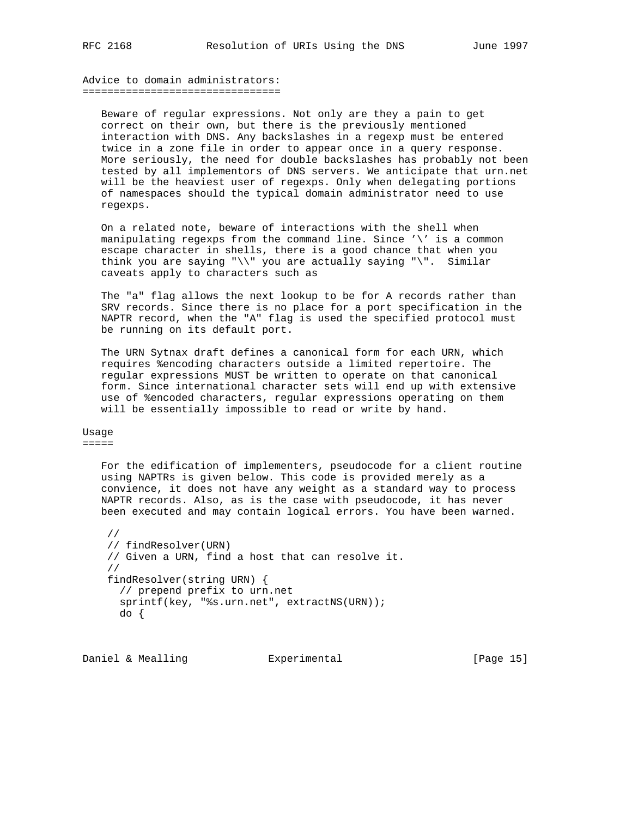Advice to domain administrators: ================================

 Beware of regular expressions. Not only are they a pain to get correct on their own, but there is the previously mentioned interaction with DNS. Any backslashes in a regexp must be entered twice in a zone file in order to appear once in a query response. More seriously, the need for double backslashes has probably not been tested by all implementors of DNS servers. We anticipate that urn.net will be the heaviest user of regexps. Only when delegating portions of namespaces should the typical domain administrator need to use regexps.

 On a related note, beware of interactions with the shell when manipulating regexps from the command line. Since '\' is a common escape character in shells, there is a good chance that when you think you are saying "\\" you are actually saying "\". Similar caveats apply to characters such as

 The "a" flag allows the next lookup to be for A records rather than SRV records. Since there is no place for a port specification in the NAPTR record, when the "A" flag is used the specified protocol must be running on its default port.

 The URN Sytnax draft defines a canonical form for each URN, which requires %encoding characters outside a limited repertoire. The regular expressions MUST be written to operate on that canonical form. Since international character sets will end up with extensive use of %encoded characters, regular expressions operating on them will be essentially impossible to read or write by hand.

Usage =====

> For the edification of implementers, pseudocode for a client routine using NAPTRs is given below. This code is provided merely as a convience, it does not have any weight as a standard way to process NAPTR records. Also, as is the case with pseudocode, it has never been executed and may contain logical errors. You have been warned.

 // // findResolver(URN) // Given a URN, find a host that can resolve it. // findResolver(string URN) { // prepend prefix to urn.net sprintf(key, "%s.urn.net", extractNS(URN)); do {

Daniel & Mealling **Experimental Experimental** [Page 15]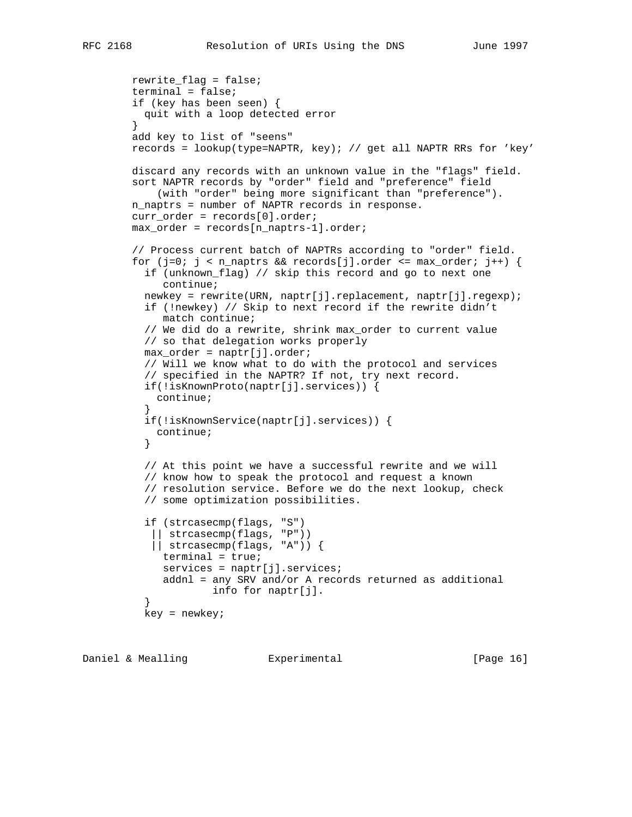```
 rewrite_flag = false;
        terminal = false;
        if (key has been seen) {
          quit with a loop detected error
 }
        add key to list of "seens"
        records = lookup(type=NAPTR, key); // get all NAPTR RRs for 'key'
        discard any records with an unknown value in the "flags" field.
        sort NAPTR records by "order" field and "preference" field
             (with "order" being more significant than "preference").
        n_naptrs = number of NAPTR records in response.
       curr order = records[0].order;
        max_order = records[n_naptrs-1].order;
         // Process current batch of NAPTRs according to "order" field.
       for (j=0; j < n_naptrs && records[j].order <= max_order; j++) {
          if (unknown_flag) // skip this record and go to next one
             continue;
          newkey = rewrite(URN, naptr[j].replacement, naptr[j].regexp);
          if (!newkey) // Skip to next record if the rewrite didn't
             match continue;
          // We did do a rewrite, shrink max_order to current value
          // so that delegation works properly
          max_order = naptr[j].order;
          // Will we know what to do with the protocol and services
          // specified in the NAPTR? If not, try next record.
          if(!isKnownProto(naptr[j].services)) {
            continue;
 }
          if(!isKnownService(naptr[j].services)) {
          continue;<br>}
 }
          // At this point we have a successful rewrite and we will
          // know how to speak the protocol and request a known
          // resolution service. Before we do the next lookup, check
          // some optimization possibilities.
          if (strcasecmp(flags, "S")
             || strcasecmp(flags, "P"))
            || strcasecmp(flags, "A")) {
             terminal = true;
            services = naptr[j].services;
             addnl = any SRV and/or A records returned as additional
                     info for naptr[j].
 }
          key = newkey;
```
Daniel & Mealling **Experimental** [Page 16]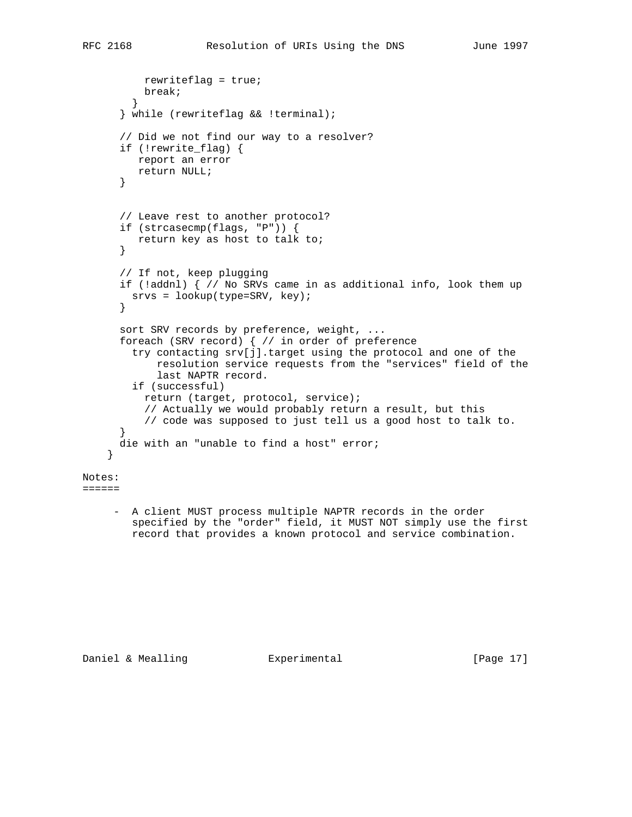```
 rewriteflag = true;
        break;<br>}
 }
       } while (rewriteflag && !terminal);
       // Did we not find our way to a resolver?
       if (!rewrite_flag) {
         report an error
         return NULL;
       }
       // Leave rest to another protocol?
       if (strcasecmp(flags, "P")) {
          return key as host to talk to;
       }
       // If not, keep plugging
       if (!addnl) { // No SRVs came in as additional info, look them up
        srvs = lookup(type=SRV, key);
       }
      sort SRV records by preference, weight, ...
       foreach (SRV record) { // in order of preference
         try contacting srv[j].target using the protocol and one of the
             resolution service requests from the "services" field of the
             last NAPTR record.
         if (successful)
           return (target, protocol, service);
           // Actually we would probably return a result, but this
           // code was supposed to just tell us a good host to talk to.
       }
       die with an "unable to find a host" error;
     }
Notes:
=
```
 - A client MUST process multiple NAPTR records in the order specified by the "order" field, it MUST NOT simply use the first record that provides a known protocol and service combination.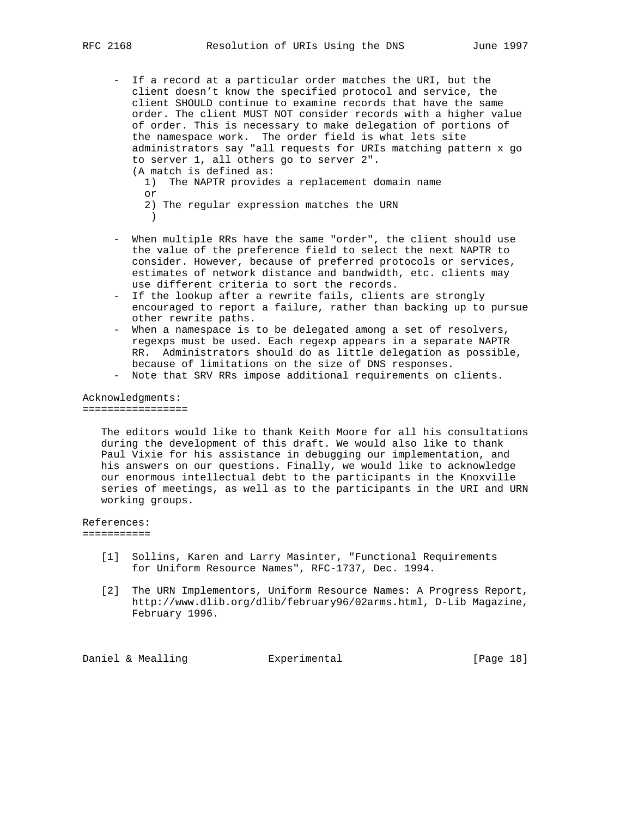- If a record at a particular order matches the URI, but the client doesn't know the specified protocol and service, the client SHOULD continue to examine records that have the same order. The client MUST NOT consider records with a higher value of order. This is necessary to make delegation of portions of the namespace work. The order field is what lets site administrators say "all requests for URIs matching pattern x go to server 1, all others go to server 2". (A match is defined as: 1) The NAPTR provides a replacement domain name or
- 2) The regular expression matches the URN )
	- When multiple RRs have the same "order", the client should use the value of the preference field to select the next NAPTR to consider. However, because of preferred protocols or services, estimates of network distance and bandwidth, etc. clients may use different criteria to sort the records.
	- If the lookup after a rewrite fails, clients are strongly encouraged to report a failure, rather than backing up to pursue other rewrite paths.
	- When a namespace is to be delegated among a set of resolvers, regexps must be used. Each regexp appears in a separate NAPTR RR. Administrators should do as little delegation as possible, because of limitations on the size of DNS responses.
	- Note that SRV RRs impose additional requirements on clients.

## Acknowledgments: =================

 The editors would like to thank Keith Moore for all his consultations during the development of this draft. We would also like to thank Paul Vixie for his assistance in debugging our implementation, and his answers on our questions. Finally, we would like to acknowledge our enormous intellectual debt to the participants in the Knoxville series of meetings, as well as to the participants in the URI and URN working groups.

# References:

===========

- [1] Sollins, Karen and Larry Masinter, "Functional Requirements for Uniform Resource Names", RFC-1737, Dec. 1994.
- [2] The URN Implementors, Uniform Resource Names: A Progress Report, http://www.dlib.org/dlib/february96/02arms.html, D-Lib Magazine, February 1996.

Daniel & Mealling  $\qquad \qquad$  Experimental  $\qquad \qquad$  [Page 18]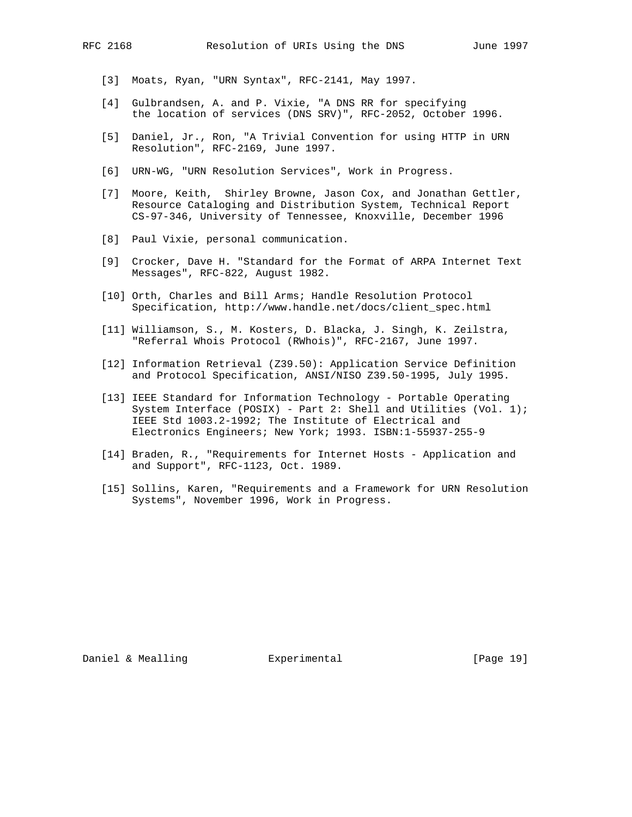- [3] Moats, Ryan, "URN Syntax", RFC-2141, May 1997.
- [4] Gulbrandsen, A. and P. Vixie, "A DNS RR for specifying the location of services (DNS SRV)", RFC-2052, October 1996.
- [5] Daniel, Jr., Ron, "A Trivial Convention for using HTTP in URN Resolution", RFC-2169, June 1997.
- [6] URN-WG, "URN Resolution Services", Work in Progress.
- [7] Moore, Keith, Shirley Browne, Jason Cox, and Jonathan Gettler, Resource Cataloging and Distribution System, Technical Report CS-97-346, University of Tennessee, Knoxville, December 1996
- [8] Paul Vixie, personal communication.
- [9] Crocker, Dave H. "Standard for the Format of ARPA Internet Text Messages", RFC-822, August 1982.
- [10] Orth, Charles and Bill Arms; Handle Resolution Protocol Specification, http://www.handle.net/docs/client\_spec.html
- [11] Williamson, S., M. Kosters, D. Blacka, J. Singh, K. Zeilstra, "Referral Whois Protocol (RWhois)", RFC-2167, June 1997.
- [12] Information Retrieval (Z39.50): Application Service Definition and Protocol Specification, ANSI/NISO Z39.50-1995, July 1995.
- [13] IEEE Standard for Information Technology Portable Operating System Interface (POSIX) - Part 2: Shell and Utilities (Vol. 1); IEEE Std 1003.2-1992; The Institute of Electrical and Electronics Engineers; New York; 1993. ISBN:1-55937-255-9
- [14] Braden, R., "Requirements for Internet Hosts Application and and Support", RFC-1123, Oct. 1989.
- [15] Sollins, Karen, "Requirements and a Framework for URN Resolution Systems", November 1996, Work in Progress.

Daniel & Mealling  $\qquad \qquad$  Experimental  $\qquad \qquad$  [Page 19]